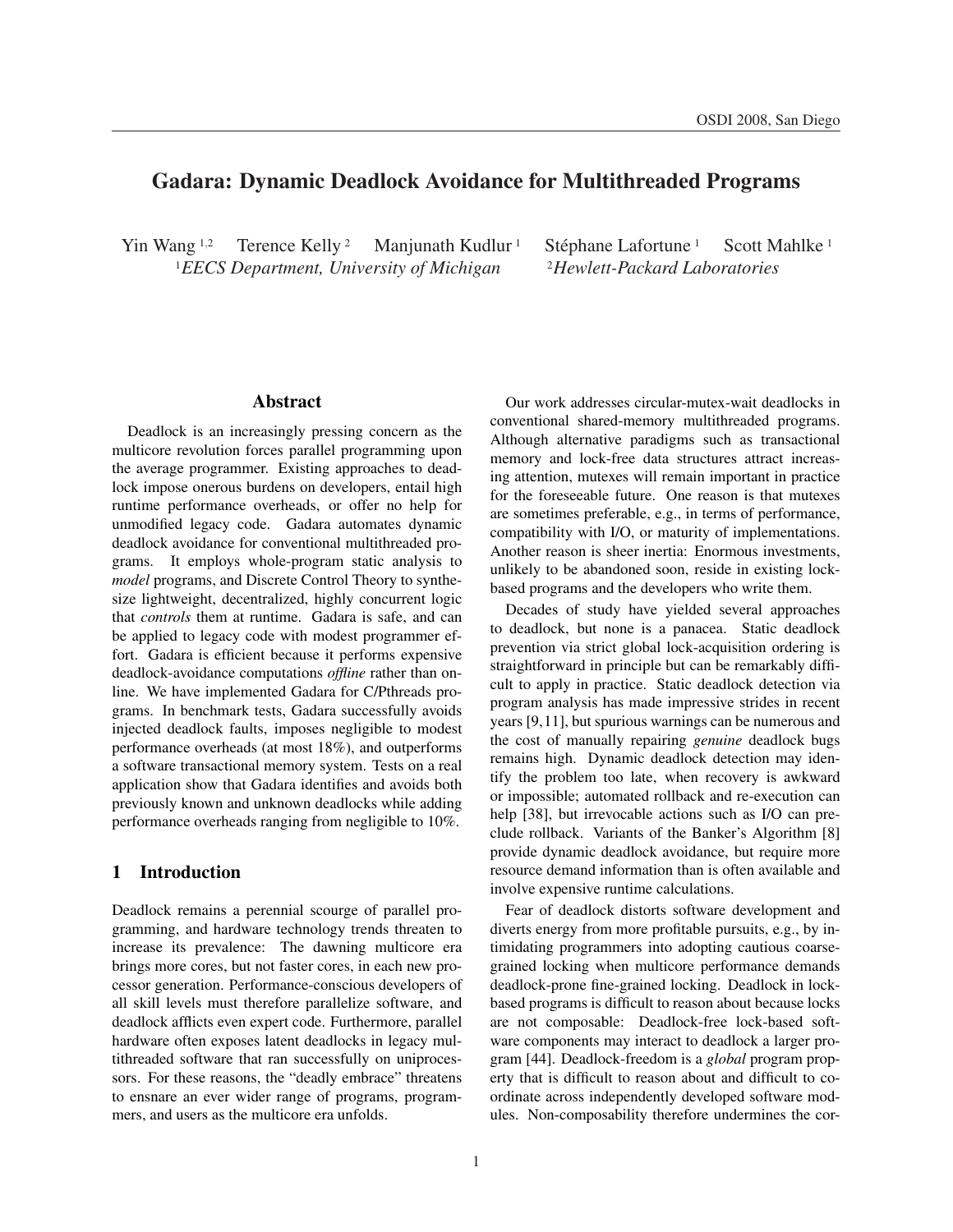# Gadara: Dynamic Deadlock Avoidance for Multithreaded Programs

Yin Wang <sup>1,2</sup> Terence Kelly <sup>2</sup> Manjunath Kudlur <sup>1</sup> Stéphane Lafortune <sup>1</sup> <sup>1</sup>*EECS Department, University of Michigan* <sup>2</sup>*Hewlett-Packard Laboratories*

Scott Mahlke<sup>1</sup>

## Abstract

Deadlock is an increasingly pressing concern as the multicore revolution forces parallel programming upon the average programmer. Existing approaches to deadlock impose onerous burdens on developers, entail high runtime performance overheads, or offer no help for unmodified legacy code. Gadara automates dynamic deadlock avoidance for conventional multithreaded programs. It employs whole-program static analysis to *model* programs, and Discrete Control Theory to synthesize lightweight, decentralized, highly concurrent logic that *controls* them at runtime. Gadara is safe, and can be applied to legacy code with modest programmer effort. Gadara is efficient because it performs expensive deadlock-avoidance computations *offline* rather than online. We have implemented Gadara for C/Pthreads programs. In benchmark tests, Gadara successfully avoids injected deadlock faults, imposes negligible to modest performance overheads (at most 18%), and outperforms a software transactional memory system. Tests on a real application show that Gadara identifies and avoids both previously known and unknown deadlocks while adding performance overheads ranging from negligible to 10%.

## 1 Introduction

Deadlock remains a perennial scourge of parallel programming, and hardware technology trends threaten to increase its prevalence: The dawning multicore era brings more cores, but not faster cores, in each new processor generation. Performance-conscious developers of all skill levels must therefore parallelize software, and deadlock afflicts even expert code. Furthermore, parallel hardware often exposes latent deadlocks in legacy multithreaded software that ran successfully on uniprocessors. For these reasons, the "deadly embrace" threatens to ensnare an ever wider range of programs, programmers, and users as the multicore era unfolds.

Our work addresses circular-mutex-wait deadlocks in conventional shared-memory multithreaded programs. Although alternative paradigms such as transactional memory and lock-free data structures attract increasing attention, mutexes will remain important in practice for the foreseeable future. One reason is that mutexes are sometimes preferable, e.g., in terms of performance, compatibility with I/O, or maturity of implementations. Another reason is sheer inertia: Enormous investments, unlikely to be abandoned soon, reside in existing lockbased programs and the developers who write them.

Decades of study have yielded several approaches to deadlock, but none is a panacea. Static deadlock prevention via strict global lock-acquisition ordering is straightforward in principle but can be remarkably difficult to apply in practice. Static deadlock detection via program analysis has made impressive strides in recent years [9,11], but spurious warnings can be numerous and the cost of manually repairing *genuine* deadlock bugs remains high. Dynamic deadlock detection may identify the problem too late, when recovery is awkward or impossible; automated rollback and re-execution can help [38], but irrevocable actions such as I/O can preclude rollback. Variants of the Banker's Algorithm [8] provide dynamic deadlock avoidance, but require more resource demand information than is often available and involve expensive runtime calculations.

Fear of deadlock distorts software development and diverts energy from more profitable pursuits, e.g., by intimidating programmers into adopting cautious coarsegrained locking when multicore performance demands deadlock-prone fine-grained locking. Deadlock in lockbased programs is difficult to reason about because locks are not composable: Deadlock-free lock-based software components may interact to deadlock a larger program [44]. Deadlock-freedom is a *global* program property that is difficult to reason about and difficult to coordinate across independently developed software modules. Non-composability therefore undermines the cor-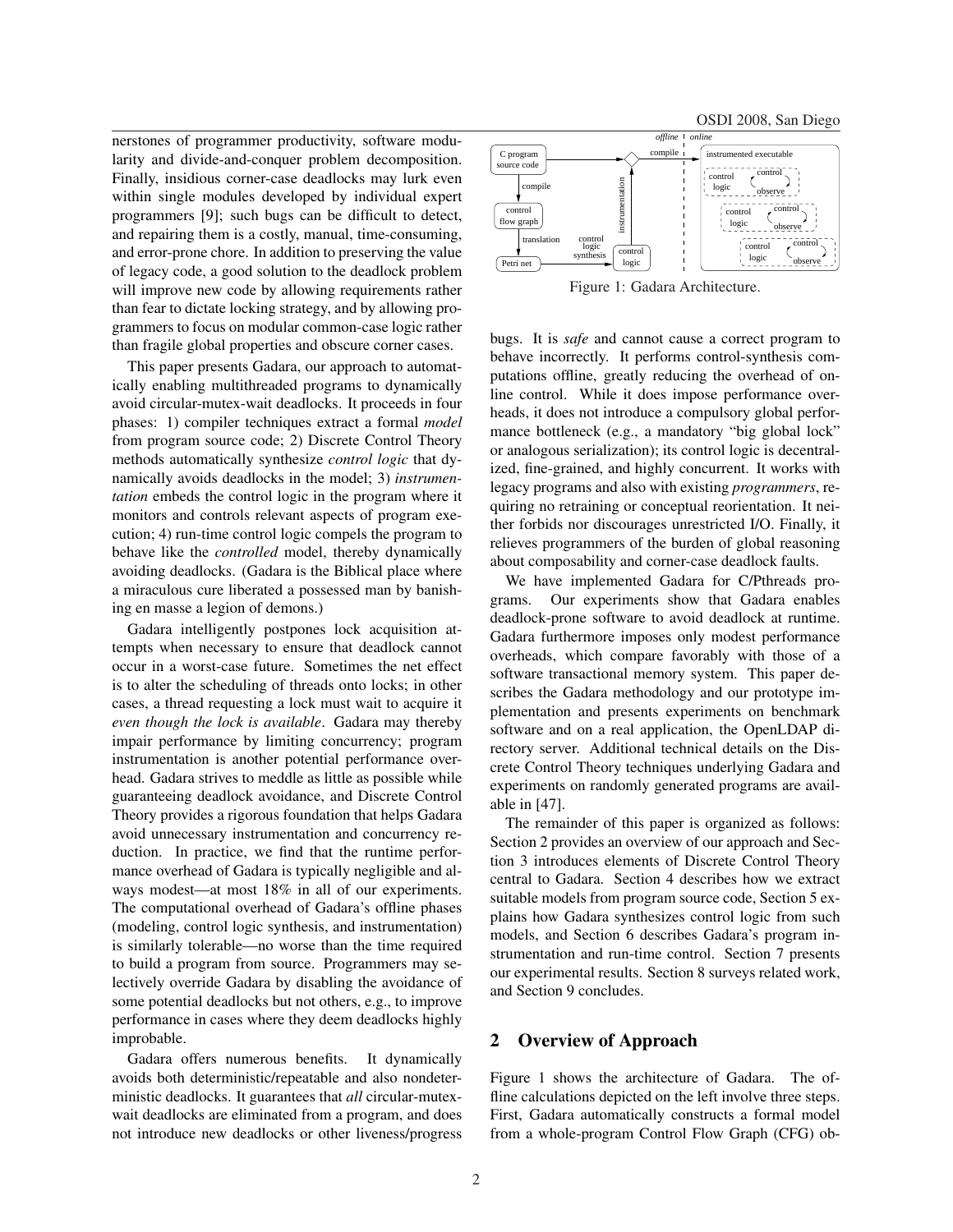OSDI 2008, San Diego

nerstones of programmer productivity, software modularity and divide-and-conquer problem decomposition. Finally, insidious corner-case deadlocks may lurk even within single modules developed by individual expert programmers [9]; such bugs can be difficult to detect, and repairing them is a costly, manual, time-consuming, and error-prone chore. In addition to preserving the value of legacy code, a good solution to the deadlock problem will improve new code by allowing requirements rather than fear to dictate locking strategy, and by allowing programmers to focus on modular common-case logic rather than fragile global properties and obscure corner cases.

This paper presents Gadara, our approach to automatically enabling multithreaded programs to dynamically avoid circular-mutex-wait deadlocks. It proceeds in four phases: 1) compiler techniques extract a formal *model* from program source code; 2) Discrete Control Theory methods automatically synthesize *control logic* that dynamically avoids deadlocks in the model; 3) *instrumentation* embeds the control logic in the program where it monitors and controls relevant aspects of program execution; 4) run-time control logic compels the program to behave like the *controlled* model, thereby dynamically avoiding deadlocks. (Gadara is the Biblical place where a miraculous cure liberated a possessed man by banishing en masse a legion of demons.)

Gadara intelligently postpones lock acquisition attempts when necessary to ensure that deadlock cannot occur in a worst-case future. Sometimes the net effect is to alter the scheduling of threads onto locks; in other cases, a thread requesting a lock must wait to acquire it *even though the lock is available*. Gadara may thereby impair performance by limiting concurrency; program instrumentation is another potential performance overhead. Gadara strives to meddle as little as possible while guaranteeing deadlock avoidance, and Discrete Control Theory provides a rigorous foundation that helps Gadara avoid unnecessary instrumentation and concurrency reduction. In practice, we find that the runtime performance overhead of Gadara is typically negligible and always modest—at most 18% in all of our experiments. The computational overhead of Gadara's offline phases (modeling, control logic synthesis, and instrumentation) is similarly tolerable—no worse than the time required to build a program from source. Programmers may selectively override Gadara by disabling the avoidance of some potential deadlocks but not others, e.g., to improve performance in cases where they deem deadlocks highly improbable.

Gadara offers numerous benefits. It dynamically avoids both deterministic/repeatable and also nondeterministic deadlocks. It guarantees that *all* circular-mutexwait deadlocks are eliminated from a program, and does not introduce new deadlocks or other liveness/progress



Figure 1: Gadara Architecture.

bugs. It is *safe* and cannot cause a correct program to behave incorrectly. It performs control-synthesis computations offline, greatly reducing the overhead of online control. While it does impose performance overheads, it does not introduce a compulsory global performance bottleneck (e.g., a mandatory "big global lock" or analogous serialization); its control logic is decentralized, fine-grained, and highly concurrent. It works with legacy programs and also with existing *programmers*, requiring no retraining or conceptual reorientation. It neither forbids nor discourages unrestricted I/O. Finally, it relieves programmers of the burden of global reasoning about composability and corner-case deadlock faults.

We have implemented Gadara for C/Pthreads programs. Our experiments show that Gadara enables deadlock-prone software to avoid deadlock at runtime. Gadara furthermore imposes only modest performance overheads, which compare favorably with those of a software transactional memory system. This paper describes the Gadara methodology and our prototype implementation and presents experiments on benchmark software and on a real application, the OpenLDAP directory server. Additional technical details on the Discrete Control Theory techniques underlying Gadara and experiments on randomly generated programs are available in [47].

The remainder of this paper is organized as follows: Section 2 provides an overview of our approach and Section 3 introduces elements of Discrete Control Theory central to Gadara. Section 4 describes how we extract suitable models from program source code, Section 5 explains how Gadara synthesizes control logic from such models, and Section 6 describes Gadara's program instrumentation and run-time control. Section 7 presents our experimental results. Section 8 surveys related work, and Section 9 concludes.

#### 2 Overview of Approach

Figure 1 shows the architecture of Gadara. The offline calculations depicted on the left involve three steps. First, Gadara automatically constructs a formal model from a whole-program Control Flow Graph (CFG) ob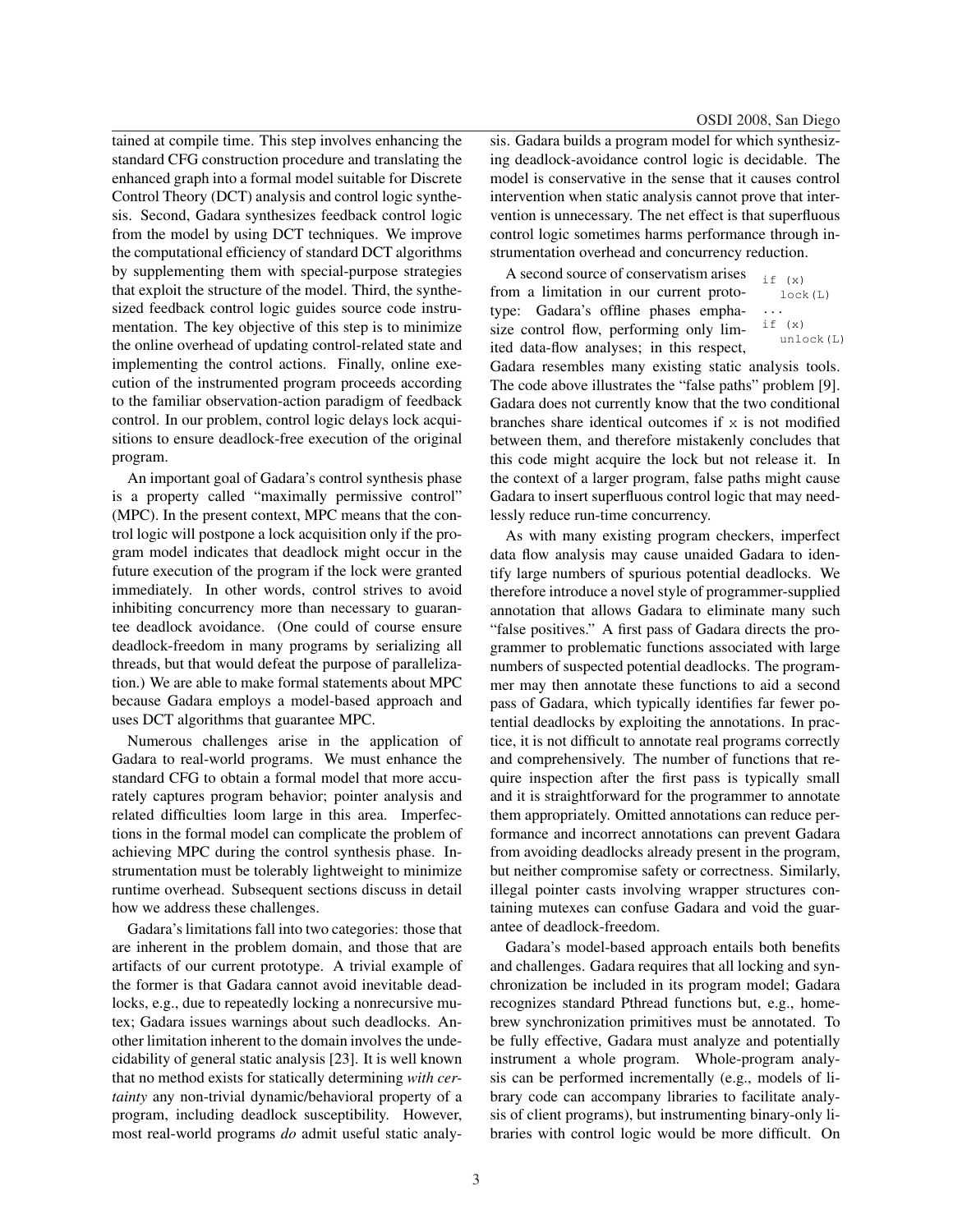tained at compile time. This step involves enhancing the standard CFG construction procedure and translating the enhanced graph into a formal model suitable for Discrete Control Theory (DCT) analysis and control logic synthesis. Second, Gadara synthesizes feedback control logic from the model by using DCT techniques. We improve the computational efficiency of standard DCT algorithms by supplementing them with special-purpose strategies that exploit the structure of the model. Third, the synthesized feedback control logic guides source code instrumentation. The key objective of this step is to minimize the online overhead of updating control-related state and implementing the control actions. Finally, online execution of the instrumented program proceeds according to the familiar observation-action paradigm of feedback control. In our problem, control logic delays lock acquisitions to ensure deadlock-free execution of the original program.

An important goal of Gadara's control synthesis phase is a property called "maximally permissive control" (MPC). In the present context, MPC means that the control logic will postpone a lock acquisition only if the program model indicates that deadlock might occur in the future execution of the program if the lock were granted immediately. In other words, control strives to avoid inhibiting concurrency more than necessary to guarantee deadlock avoidance. (One could of course ensure deadlock-freedom in many programs by serializing all threads, but that would defeat the purpose of parallelization.) We are able to make formal statements about MPC because Gadara employs a model-based approach and uses DCT algorithms that guarantee MPC.

Numerous challenges arise in the application of Gadara to real-world programs. We must enhance the standard CFG to obtain a formal model that more accurately captures program behavior; pointer analysis and related difficulties loom large in this area. Imperfections in the formal model can complicate the problem of achieving MPC during the control synthesis phase. Instrumentation must be tolerably lightweight to minimize runtime overhead. Subsequent sections discuss in detail how we address these challenges.

Gadara's limitations fall into two categories: those that are inherent in the problem domain, and those that are artifacts of our current prototype. A trivial example of the former is that Gadara cannot avoid inevitable deadlocks, e.g., due to repeatedly locking a nonrecursive mutex; Gadara issues warnings about such deadlocks. Another limitation inherent to the domain involves the undecidability of general static analysis [23]. It is well known that no method exists for statically determining *with certainty* any non-trivial dynamic/behavioral property of a program, including deadlock susceptibility. However, most real-world programs *do* admit useful static analysis. Gadara builds a program model for which synthesizing deadlock-avoidance control logic is decidable. The model is conservative in the sense that it causes control intervention when static analysis cannot prove that intervention is unnecessary. The net effect is that superfluous control logic sometimes harms performance through instrumentation overhead and concurrency reduction.

A second source of conservatism arises from a limitation in our current prototype: Gadara's offline phases emphasize control flow, performing only limited data-flow analyses; in this respect,

```
if (\mathbf{x})lock(L)
...
if (x)
   unlock(L)
```
Gadara resembles many existing static analysis tools. The code above illustrates the "false paths" problem [9]. Gadara does not currently know that the two conditional branches share identical outcomes if  $x$  is not modified between them, and therefore mistakenly concludes that this code might acquire the lock but not release it. In the context of a larger program, false paths might cause Gadara to insert superfluous control logic that may needlessly reduce run-time concurrency.

As with many existing program checkers, imperfect data flow analysis may cause unaided Gadara to identify large numbers of spurious potential deadlocks. We therefore introduce a novel style of programmer-supplied annotation that allows Gadara to eliminate many such "false positives." A first pass of Gadara directs the programmer to problematic functions associated with large numbers of suspected potential deadlocks. The programmer may then annotate these functions to aid a second pass of Gadara, which typically identifies far fewer potential deadlocks by exploiting the annotations. In practice, it is not difficult to annotate real programs correctly and comprehensively. The number of functions that require inspection after the first pass is typically small and it is straightforward for the programmer to annotate them appropriately. Omitted annotations can reduce performance and incorrect annotations can prevent Gadara from avoiding deadlocks already present in the program, but neither compromise safety or correctness. Similarly, illegal pointer casts involving wrapper structures containing mutexes can confuse Gadara and void the guarantee of deadlock-freedom.

Gadara's model-based approach entails both benefits and challenges. Gadara requires that all locking and synchronization be included in its program model; Gadara recognizes standard Pthread functions but, e.g., homebrew synchronization primitives must be annotated. To be fully effective, Gadara must analyze and potentially instrument a whole program. Whole-program analysis can be performed incrementally (e.g., models of library code can accompany libraries to facilitate analysis of client programs), but instrumenting binary-only libraries with control logic would be more difficult. On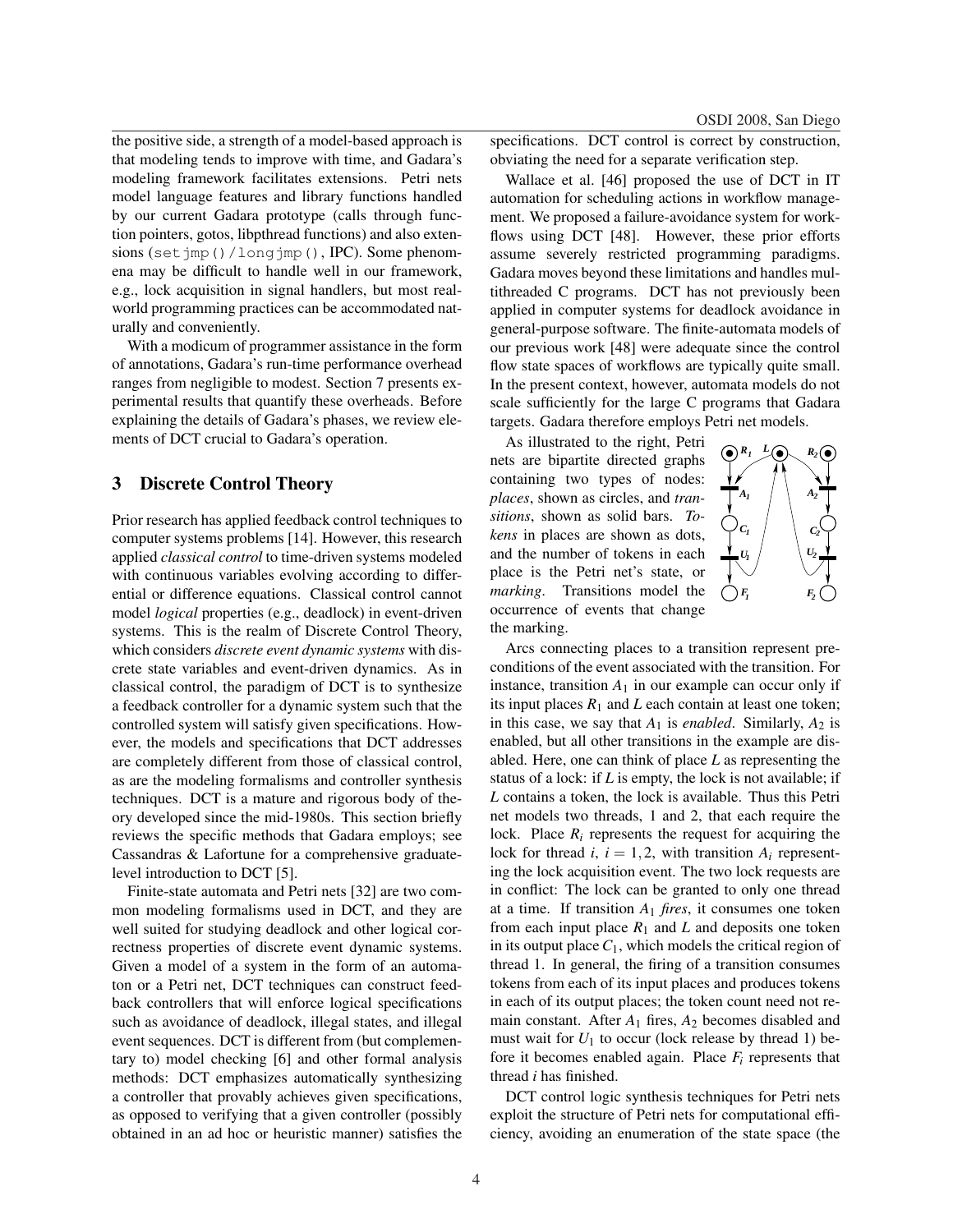OSDI 2008, San Diego

the positive side, a strength of a model-based approach is that modeling tends to improve with time, and Gadara's modeling framework facilitates extensions. Petri nets model language features and library functions handled by our current Gadara prototype (calls through function pointers, gotos, libpthread functions) and also extensions (set jmp()/longjmp(), IPC). Some phenomena may be difficult to handle well in our framework, e.g., lock acquisition in signal handlers, but most realworld programming practices can be accommodated naturally and conveniently.

With a modicum of programmer assistance in the form of annotations, Gadara's run-time performance overhead ranges from negligible to modest. Section 7 presents experimental results that quantify these overheads. Before explaining the details of Gadara's phases, we review elements of DCT crucial to Gadara's operation.

## 3 Discrete Control Theory

Prior research has applied feedback control techniques to computer systems problems [14]. However, this research applied *classical control* to time-driven systems modeled with continuous variables evolving according to differential or difference equations. Classical control cannot model *logical* properties (e.g., deadlock) in event-driven systems. This is the realm of Discrete Control Theory, which considers *discrete event dynamic systems* with discrete state variables and event-driven dynamics. As in classical control, the paradigm of DCT is to synthesize a feedback controller for a dynamic system such that the controlled system will satisfy given specifications. However, the models and specifications that DCT addresses are completely different from those of classical control, as are the modeling formalisms and controller synthesis techniques. DCT is a mature and rigorous body of theory developed since the mid-1980s. This section briefly reviews the specific methods that Gadara employs; see Cassandras & Lafortune for a comprehensive graduatelevel introduction to DCT [5].

Finite-state automata and Petri nets [32] are two common modeling formalisms used in DCT, and they are well suited for studying deadlock and other logical correctness properties of discrete event dynamic systems. Given a model of a system in the form of an automaton or a Petri net, DCT techniques can construct feedback controllers that will enforce logical specifications such as avoidance of deadlock, illegal states, and illegal event sequences. DCT is different from (but complementary to) model checking [6] and other formal analysis methods: DCT emphasizes automatically synthesizing a controller that provably achieves given specifications, as opposed to verifying that a given controller (possibly obtained in an ad hoc or heuristic manner) satisfies the specifications. DCT control is correct by construction, obviating the need for a separate verification step.

Wallace et al. [46] proposed the use of DCT in IT automation for scheduling actions in workflow management. We proposed a failure-avoidance system for workflows using DCT [48]. However, these prior efforts assume severely restricted programming paradigms. Gadara moves beyond these limitations and handles multithreaded C programs. DCT has not previously been applied in computer systems for deadlock avoidance in general-purpose software. The finite-automata models of our previous work [48] were adequate since the control flow state spaces of workflows are typically quite small. In the present context, however, automata models do not scale sufficiently for the large C programs that Gadara targets. Gadara therefore employs Petri net models.

As illustrated to the right, Petri nets are bipartite directed graphs containing two types of nodes: *places*, shown as circles, and *transitions*, shown as solid bars. *Tokens* in places are shown as dots, and the number of tokens in each place is the Petri net's state, or *marking*. Transitions model the occurrence of events that change the marking.



Arcs connecting places to a transition represent preconditions of the event associated with the transition. For instance, transition  $A_1$  in our example can occur only if its input places  $R_1$  and  $L$  each contain at least one token; in this case, we say that  $A_1$  is *enabled*. Similarly,  $A_2$  is enabled, but all other transitions in the example are disabled. Here, one can think of place *L* as representing the status of a lock: if *L* is empty, the lock is not available; if *L* contains a token, the lock is available. Thus this Petri net models two threads, 1 and 2, that each require the lock. Place  $R_i$  represents the request for acquiring the lock for thread *i*,  $i = 1, 2$ , with transition  $A_i$  representing the lock acquisition event. The two lock requests are in conflict: The lock can be granted to only one thread at a time. If transition *A*<sup>1</sup> *fires*, it consumes one token from each input place  $R_1$  and  $L$  and deposits one token in its output place  $C_1$ , which models the critical region of thread 1. In general, the firing of a transition consumes tokens from each of its input places and produces tokens in each of its output places; the token count need not remain constant. After  $A_1$  fires,  $A_2$  becomes disabled and must wait for  $U_1$  to occur (lock release by thread 1) before it becomes enabled again. Place *F<sup>i</sup>* represents that thread *i* has finished.

DCT control logic synthesis techniques for Petri nets exploit the structure of Petri nets for computational efficiency, avoiding an enumeration of the state space (the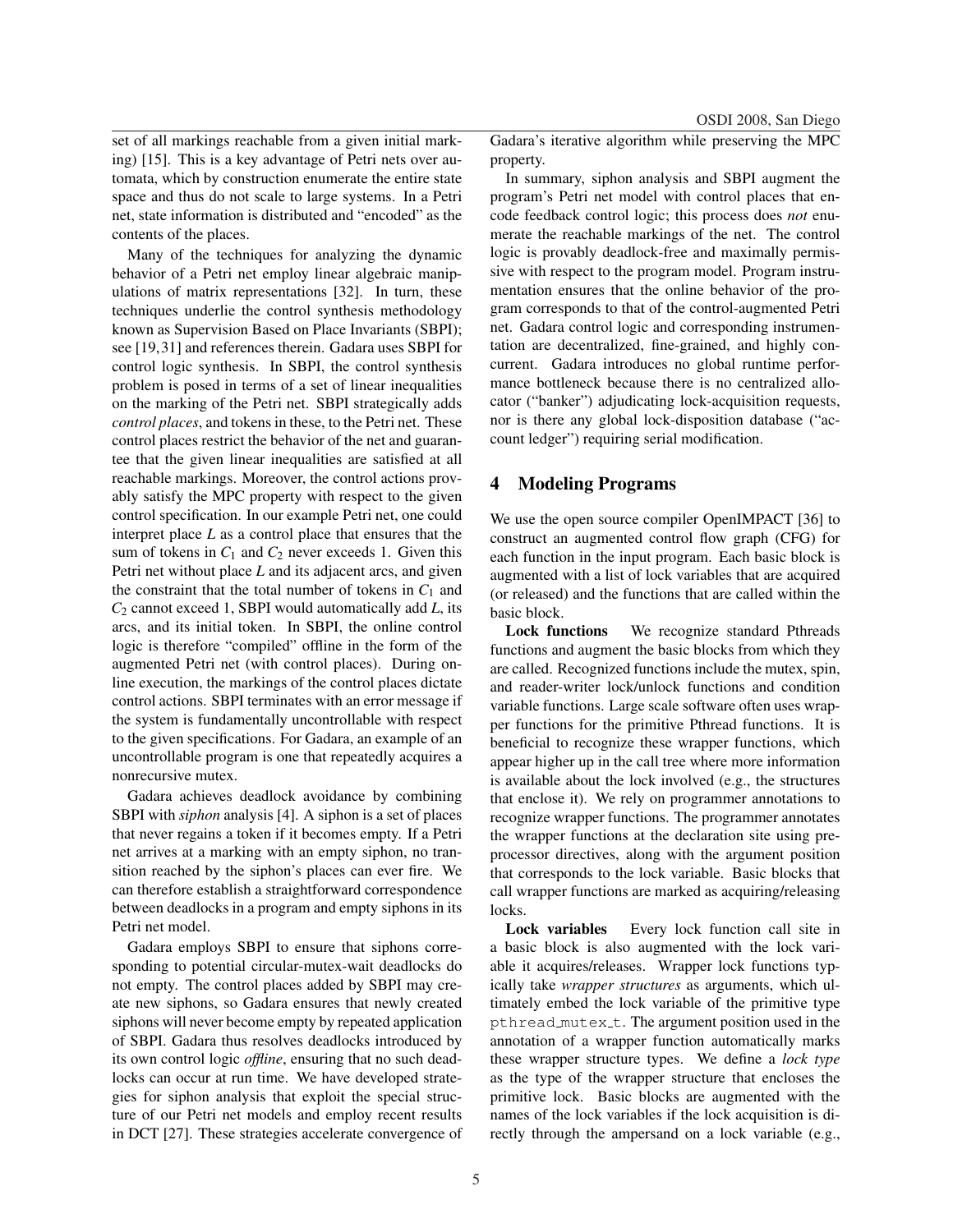OSDI 2008, San Diego

set of all markings reachable from a given initial marking) [15]. This is a key advantage of Petri nets over automata, which by construction enumerate the entire state space and thus do not scale to large systems. In a Petri net, state information is distributed and "encoded" as the contents of the places.

Many of the techniques for analyzing the dynamic behavior of a Petri net employ linear algebraic manipulations of matrix representations [32]. In turn, these techniques underlie the control synthesis methodology known as Supervision Based on Place Invariants (SBPI); see [19,31] and references therein. Gadara uses SBPI for control logic synthesis. In SBPI, the control synthesis problem is posed in terms of a set of linear inequalities on the marking of the Petri net. SBPI strategically adds *control places*, and tokens in these, to the Petri net. These control places restrict the behavior of the net and guarantee that the given linear inequalities are satisfied at all reachable markings. Moreover, the control actions provably satisfy the MPC property with respect to the given control specification. In our example Petri net, one could interpret place *L* as a control place that ensures that the sum of tokens in  $C_1$  and  $C_2$  never exceeds 1. Given this Petri net without place *L* and its adjacent arcs, and given the constraint that the total number of tokens in  $C_1$  and *C*<sup>2</sup> cannot exceed 1, SBPI would automatically add *L*, its arcs, and its initial token. In SBPI, the online control logic is therefore "compiled" offline in the form of the augmented Petri net (with control places). During online execution, the markings of the control places dictate control actions. SBPI terminates with an error message if the system is fundamentally uncontrollable with respect to the given specifications. For Gadara, an example of an uncontrollable program is one that repeatedly acquires a nonrecursive mutex.

Gadara achieves deadlock avoidance by combining SBPI with *siphon* analysis [4]. A siphon is a set of places that never regains a token if it becomes empty. If a Petri net arrives at a marking with an empty siphon, no transition reached by the siphon's places can ever fire. We can therefore establish a straightforward correspondence between deadlocks in a program and empty siphons in its Petri net model.

Gadara employs SBPI to ensure that siphons corresponding to potential circular-mutex-wait deadlocks do not empty. The control places added by SBPI may create new siphons, so Gadara ensures that newly created siphons will never become empty by repeated application of SBPI. Gadara thus resolves deadlocks introduced by its own control logic *offline*, ensuring that no such deadlocks can occur at run time. We have developed strategies for siphon analysis that exploit the special structure of our Petri net models and employ recent results in DCT [27]. These strategies accelerate convergence of Gadara's iterative algorithm while preserving the MPC property.

In summary, siphon analysis and SBPI augment the program's Petri net model with control places that encode feedback control logic; this process does *not* enumerate the reachable markings of the net. The control logic is provably deadlock-free and maximally permissive with respect to the program model. Program instrumentation ensures that the online behavior of the program corresponds to that of the control-augmented Petri net. Gadara control logic and corresponding instrumentation are decentralized, fine-grained, and highly concurrent. Gadara introduces no global runtime performance bottleneck because there is no centralized allocator ("banker") adjudicating lock-acquisition requests, nor is there any global lock-disposition database ("account ledger") requiring serial modification.

# 4 Modeling Programs

We use the open source compiler OpenIMPACT [36] to construct an augmented control flow graph (CFG) for each function in the input program. Each basic block is augmented with a list of lock variables that are acquired (or released) and the functions that are called within the basic block.

Lock functions We recognize standard Pthreads functions and augment the basic blocks from which they are called. Recognized functions include the mutex, spin, and reader-writer lock/unlock functions and condition variable functions. Large scale software often uses wrapper functions for the primitive Pthread functions. It is beneficial to recognize these wrapper functions, which appear higher up in the call tree where more information is available about the lock involved (e.g., the structures that enclose it). We rely on programmer annotations to recognize wrapper functions. The programmer annotates the wrapper functions at the declaration site using preprocessor directives, along with the argument position that corresponds to the lock variable. Basic blocks that call wrapper functions are marked as acquiring/releasing locks.

Lock variables Every lock function call site in a basic block is also augmented with the lock variable it acquires/releases. Wrapper lock functions typically take *wrapper structures* as arguments, which ultimately embed the lock variable of the primitive type pthread\_mutex\_t. The argument position used in the annotation of a wrapper function automatically marks these wrapper structure types. We define a *lock type* as the type of the wrapper structure that encloses the primitive lock. Basic blocks are augmented with the names of the lock variables if the lock acquisition is directly through the ampersand on a lock variable (e.g.,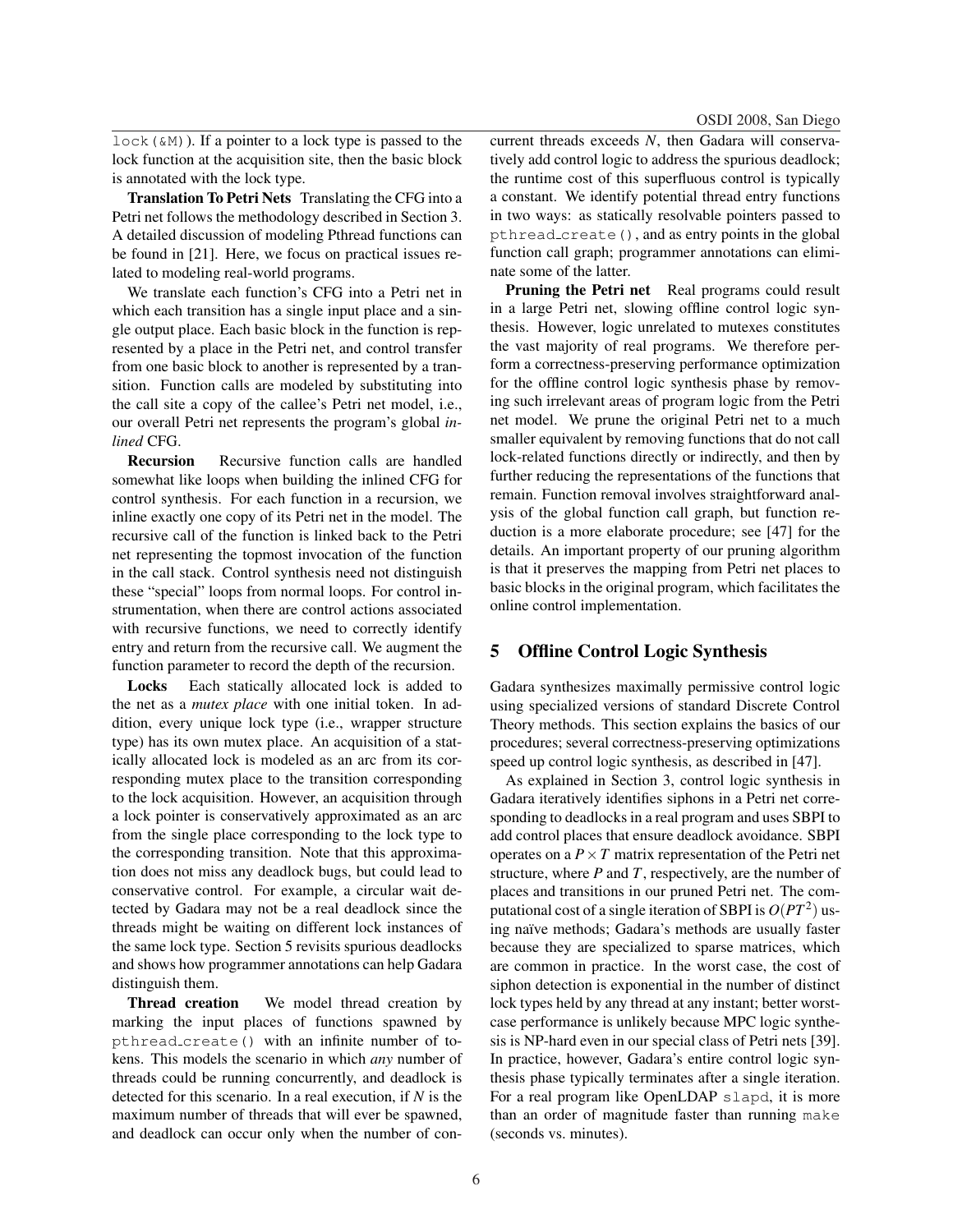$lock($  &M)). If a pointer to a lock type is passed to the lock function at the acquisition site, then the basic block is annotated with the lock type.

Translation To Petri Nets Translating the CFG into a Petri net follows the methodology described in Section 3. A detailed discussion of modeling Pthread functions can be found in [21]. Here, we focus on practical issues related to modeling real-world programs.

We translate each function's CFG into a Petri net in which each transition has a single input place and a single output place. Each basic block in the function is represented by a place in the Petri net, and control transfer from one basic block to another is represented by a transition. Function calls are modeled by substituting into the call site a copy of the callee's Petri net model, i.e., our overall Petri net represents the program's global *inlined* CFG.

Recursion Recursive function calls are handled somewhat like loops when building the inlined CFG for control synthesis. For each function in a recursion, we inline exactly one copy of its Petri net in the model. The recursive call of the function is linked back to the Petri net representing the topmost invocation of the function in the call stack. Control synthesis need not distinguish these "special" loops from normal loops. For control instrumentation, when there are control actions associated with recursive functions, we need to correctly identify entry and return from the recursive call. We augment the function parameter to record the depth of the recursion.

Locks Each statically allocated lock is added to the net as a *mutex place* with one initial token. In addition, every unique lock type (i.e., wrapper structure type) has its own mutex place. An acquisition of a statically allocated lock is modeled as an arc from its corresponding mutex place to the transition corresponding to the lock acquisition. However, an acquisition through a lock pointer is conservatively approximated as an arc from the single place corresponding to the lock type to the corresponding transition. Note that this approximation does not miss any deadlock bugs, but could lead to conservative control. For example, a circular wait detected by Gadara may not be a real deadlock since the threads might be waiting on different lock instances of the same lock type. Section 5 revisits spurious deadlocks and shows how programmer annotations can help Gadara distinguish them.

Thread creation We model thread creation by marking the input places of functions spawned by pthread create() with an infinite number of tokens. This models the scenario in which *any* number of threads could be running concurrently, and deadlock is detected for this scenario. In a real execution, if *N* is the maximum number of threads that will ever be spawned, and deadlock can occur only when the number of concurrent threads exceeds *N*, then Gadara will conservatively add control logic to address the spurious deadlock; the runtime cost of this superfluous control is typically a constant. We identify potential thread entry functions in two ways: as statically resolvable pointers passed to pthread create(), and as entry points in the global function call graph; programmer annotations can eliminate some of the latter.

Pruning the Petri net Real programs could result in a large Petri net, slowing offline control logic synthesis. However, logic unrelated to mutexes constitutes the vast majority of real programs. We therefore perform a correctness-preserving performance optimization for the offline control logic synthesis phase by removing such irrelevant areas of program logic from the Petri net model. We prune the original Petri net to a much smaller equivalent by removing functions that do not call lock-related functions directly or indirectly, and then by further reducing the representations of the functions that remain. Function removal involves straightforward analysis of the global function call graph, but function reduction is a more elaborate procedure; see [47] for the details. An important property of our pruning algorithm is that it preserves the mapping from Petri net places to basic blocks in the original program, which facilitates the online control implementation.

## 5 Offline Control Logic Synthesis

Gadara synthesizes maximally permissive control logic using specialized versions of standard Discrete Control Theory methods. This section explains the basics of our procedures; several correctness-preserving optimizations speed up control logic synthesis, as described in [47].

As explained in Section 3, control logic synthesis in Gadara iteratively identifies siphons in a Petri net corresponding to deadlocks in a real program and uses SBPI to add control places that ensure deadlock avoidance. SBPI operates on a  $P \times T$  matrix representation of the Petri net structure, where *P* and *T*, respectively, are the number of places and transitions in our pruned Petri net. The computational cost of a single iteration of SBPI is  $O(PT^2)$  using naïve methods; Gadara's methods are usually faster because they are specialized to sparse matrices, which are common in practice. In the worst case, the cost of siphon detection is exponential in the number of distinct lock types held by any thread at any instant; better worstcase performance is unlikely because MPC logic synthesis is NP-hard even in our special class of Petri nets [39]. In practice, however, Gadara's entire control logic synthesis phase typically terminates after a single iteration. For a real program like OpenLDAP slapd, it is more than an order of magnitude faster than running make (seconds vs. minutes).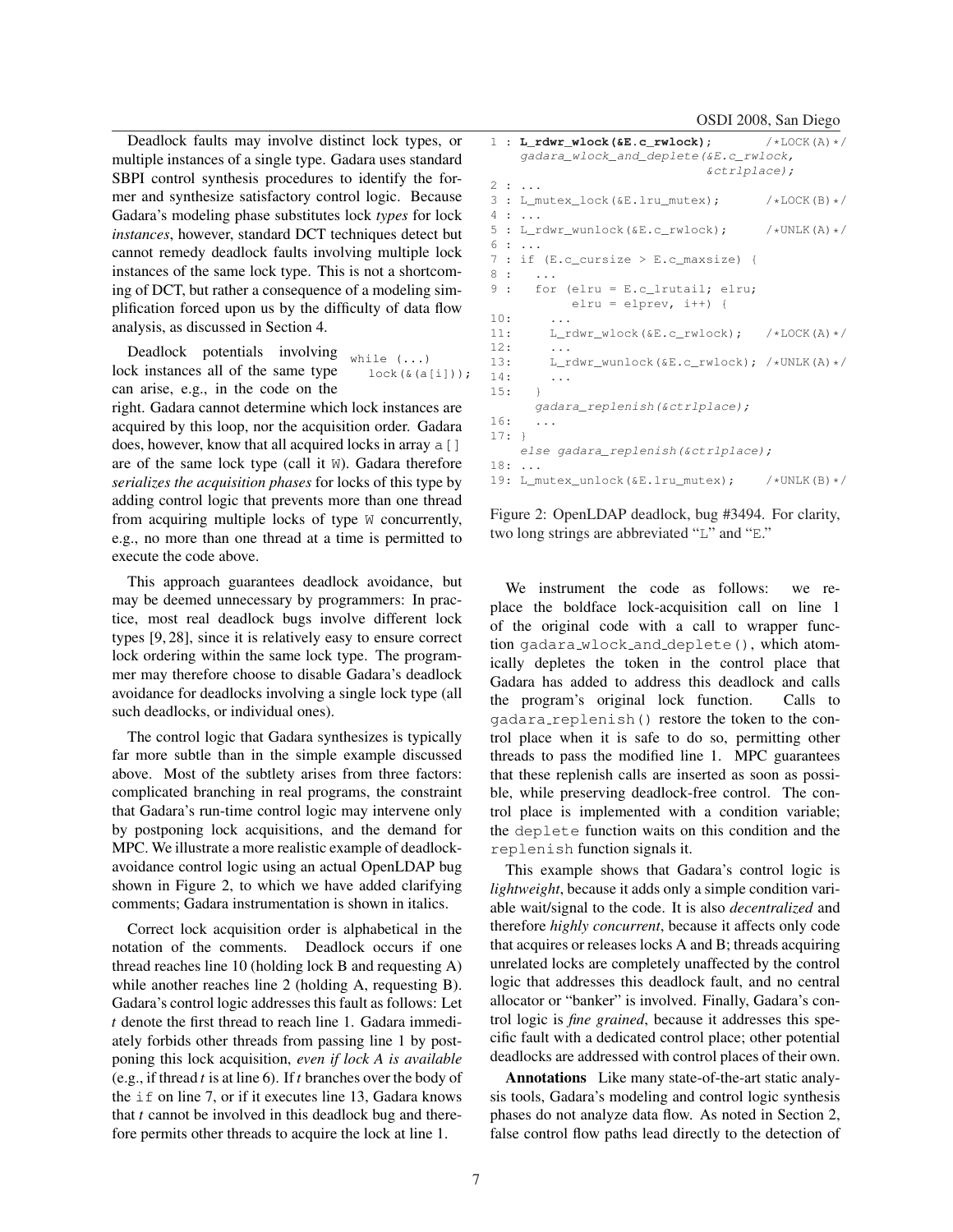Deadlock faults may involve distinct lock types, or multiple instances of a single type. Gadara uses standard SBPI control synthesis procedures to identify the former and synthesize satisfactory control logic. Because Gadara's modeling phase substitutes lock *types* for lock *instances*, however, standard DCT techniques detect but cannot remedy deadlock faults involving multiple lock instances of the same lock type. This is not a shortcoming of DCT, but rather a consequence of a modeling simplification forced upon us by the difficulty of data flow analysis, as discussed in Section 4.

while (...) lock(&(a[i])); Deadlock potentials involving lock instances all of the same type can arise, e.g., in the code on the

right. Gadara cannot determine which lock instances are acquired by this loop, nor the acquisition order. Gadara does, however, know that all acquired locks in array a [] are of the same lock type (call it W). Gadara therefore *serializes the acquisition phases* for locks of this type by adding control logic that prevents more than one thread from acquiring multiple locks of type W concurrently, e.g., no more than one thread at a time is permitted to execute the code above.

This approach guarantees deadlock avoidance, but may be deemed unnecessary by programmers: In practice, most real deadlock bugs involve different lock types [9, 28], since it is relatively easy to ensure correct lock ordering within the same lock type. The programmer may therefore choose to disable Gadara's deadlock avoidance for deadlocks involving a single lock type (all such deadlocks, or individual ones).

The control logic that Gadara synthesizes is typically far more subtle than in the simple example discussed above. Most of the subtlety arises from three factors: complicated branching in real programs, the constraint that Gadara's run-time control logic may intervene only by postponing lock acquisitions, and the demand for MPC. We illustrate a more realistic example of deadlockavoidance control logic using an actual OpenLDAP bug shown in Figure 2, to which we have added clarifying comments; Gadara instrumentation is shown in italics.

Correct lock acquisition order is alphabetical in the notation of the comments. Deadlock occurs if one thread reaches line 10 (holding lock B and requesting A) while another reaches line 2 (holding A, requesting B). Gadara's control logic addresses this fault as follows: Let *t* denote the first thread to reach line 1. Gadara immediately forbids other threads from passing line 1 by postponing this lock acquisition, *even if lock A is available* (e.g., if thread *t* is at line 6). If *t* branches over the body of the if on line 7, or if it executes line 13, Gadara knows that *t* cannot be involved in this deadlock bug and therefore permits other threads to acquire the lock at line 1.

|         | $1 : L_rdwr_wlock($ & E.c_rwlock);        | $/\star$ LOCK $(A)$ $\star$ / |
|---------|-------------------------------------------|-------------------------------|
|         | qadara_wlock_and_deplete(&E.c_rwlock,     |                               |
|         | $%ctrlplace$ ;                            |                               |
|         | 2:                                        |                               |
|         | 3 : L_mutex_lock(&E.lru_mutex);           | $/\star$ LOCK(B) $\star$ /    |
|         | $4$ :                                     |                               |
|         | 5 : L_rdwr_wunlock(&E.c_rwlock);          | $/\star$ UNLK $(A)$ $\star$ / |
|         | $6: \ldots$                               |                               |
|         | 7 : if $(E.c_cursize > E.c_maxisize)$ {   |                               |
|         | 8:<br>.                                   |                               |
|         | 9:<br>for (elru = $E.c$ _lrutail; elru;   |                               |
|         | $elru = elprev, i++)$ {                   |                               |
| 10:     | $\cdot$                                   |                               |
| 11:     | $L_rdwr_wlock($ &E.c_rwlock); /*LOCK(A)*/ |                               |
| 12:     | $\cdot$ $\cdot$ $\cdot$                   |                               |
| 13:     | L_rdwr_wunlock(&E.c_rwlock); /*UNLK(A)*/  |                               |
| 14:     | .                                         |                               |
| 15:     | $\rightarrow$                             |                               |
|         | qadara_replenish(&ctrlplace);             |                               |
| 16:     | $\cdots$                                  |                               |
| $17:$ } |                                           |                               |
|         | else qadara_replenish(&ctrlplace);        |                               |
| 18:     | $\overline{a}$                            |                               |
|         | 19: L_mutex_unlock(&E.lru_mutex);         | $/\star$ UNLK $(B)\star/$     |
|         |                                           |                               |

Figure 2: OpenLDAP deadlock, bug #3494. For clarity, two long strings are abbreviated "L" and "E."

We instrument the code as follows: we replace the boldface lock-acquisition call on line 1 of the original code with a call to wrapper function gadara wlock and deplete(), which atomically depletes the token in the control place that Gadara has added to address this deadlock and calls the program's original lock function. Calls to gadara replenish() restore the token to the control place when it is safe to do so, permitting other threads to pass the modified line 1. MPC guarantees that these replenish calls are inserted as soon as possible, while preserving deadlock-free control. The control place is implemented with a condition variable; the deplete function waits on this condition and the replenish function signals it.

This example shows that Gadara's control logic is *lightweight*, because it adds only a simple condition variable wait/signal to the code. It is also *decentralized* and therefore *highly concurrent*, because it affects only code that acquires or releases locks A and B; threads acquiring unrelated locks are completely unaffected by the control logic that addresses this deadlock fault, and no central allocator or "banker" is involved. Finally, Gadara's control logic is *fine grained*, because it addresses this specific fault with a dedicated control place; other potential deadlocks are addressed with control places of their own.

Annotations Like many state-of-the-art static analysis tools, Gadara's modeling and control logic synthesis phases do not analyze data flow. As noted in Section 2, false control flow paths lead directly to the detection of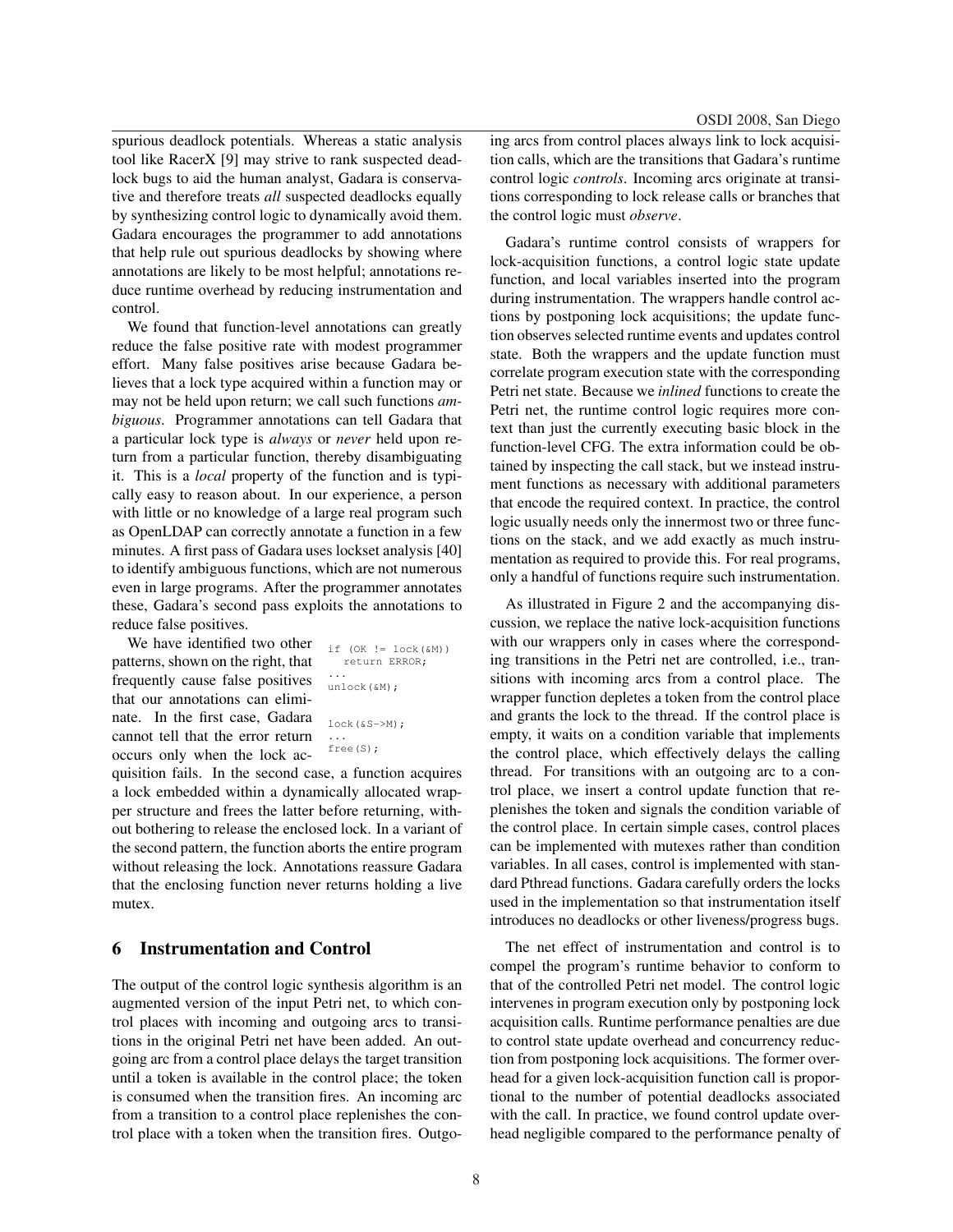spurious deadlock potentials. Whereas a static analysis tool like RacerX [9] may strive to rank suspected deadlock bugs to aid the human analyst, Gadara is conservative and therefore treats *all* suspected deadlocks equally by synthesizing control logic to dynamically avoid them. Gadara encourages the programmer to add annotations that help rule out spurious deadlocks by showing where annotations are likely to be most helpful; annotations reduce runtime overhead by reducing instrumentation and control.

We found that function-level annotations can greatly reduce the false positive rate with modest programmer effort. Many false positives arise because Gadara believes that a lock type acquired within a function may or may not be held upon return; we call such functions *ambiguous*. Programmer annotations can tell Gadara that a particular lock type is *always* or *never* held upon return from a particular function, thereby disambiguating it. This is a *local* property of the function and is typically easy to reason about. In our experience, a person with little or no knowledge of a large real program such as OpenLDAP can correctly annotate a function in a few minutes. A first pass of Gadara uses lockset analysis [40] to identify ambiguous functions, which are not numerous even in large programs. After the programmer annotates these, Gadara's second pass exploits the annotations to reduce false positives.

We have identified two other patterns, shown on the right, that frequently cause false positives that our annotations can eliminate. In the first case, Gadara cannot tell that the error return occurs only when the lock ac-

```
if (OK != lock(\&M))return ERROR;
...
unlock(&M);
lock( & S->M);
...
free(S);
```
quisition fails. In the second case, a function acquires a lock embedded within a dynamically allocated wrapper structure and frees the latter before returning, without bothering to release the enclosed lock. In a variant of the second pattern, the function aborts the entire program without releasing the lock. Annotations reassure Gadara that the enclosing function never returns holding a live mutex.

## 6 Instrumentation and Control

The output of the control logic synthesis algorithm is an augmented version of the input Petri net, to which control places with incoming and outgoing arcs to transitions in the original Petri net have been added. An outgoing arc from a control place delays the target transition until a token is available in the control place; the token is consumed when the transition fires. An incoming arc from a transition to a control place replenishes the control place with a token when the transition fires. Outgoing arcs from control places always link to lock acquisition calls, which are the transitions that Gadara's runtime control logic *controls*. Incoming arcs originate at transitions corresponding to lock release calls or branches that the control logic must *observe*.

Gadara's runtime control consists of wrappers for lock-acquisition functions, a control logic state update function, and local variables inserted into the program during instrumentation. The wrappers handle control actions by postponing lock acquisitions; the update function observes selected runtime events and updates control state. Both the wrappers and the update function must correlate program execution state with the corresponding Petri net state. Because we *inlined* functions to create the Petri net, the runtime control logic requires more context than just the currently executing basic block in the function-level CFG. The extra information could be obtained by inspecting the call stack, but we instead instrument functions as necessary with additional parameters that encode the required context. In practice, the control logic usually needs only the innermost two or three functions on the stack, and we add exactly as much instrumentation as required to provide this. For real programs, only a handful of functions require such instrumentation.

As illustrated in Figure 2 and the accompanying discussion, we replace the native lock-acquisition functions with our wrappers only in cases where the corresponding transitions in the Petri net are controlled, i.e., transitions with incoming arcs from a control place. The wrapper function depletes a token from the control place and grants the lock to the thread. If the control place is empty, it waits on a condition variable that implements the control place, which effectively delays the calling thread. For transitions with an outgoing arc to a control place, we insert a control update function that replenishes the token and signals the condition variable of the control place. In certain simple cases, control places can be implemented with mutexes rather than condition variables. In all cases, control is implemented with standard Pthread functions. Gadara carefully orders the locks used in the implementation so that instrumentation itself introduces no deadlocks or other liveness/progress bugs.

The net effect of instrumentation and control is to compel the program's runtime behavior to conform to that of the controlled Petri net model. The control logic intervenes in program execution only by postponing lock acquisition calls. Runtime performance penalties are due to control state update overhead and concurrency reduction from postponing lock acquisitions. The former overhead for a given lock-acquisition function call is proportional to the number of potential deadlocks associated with the call. In practice, we found control update overhead negligible compared to the performance penalty of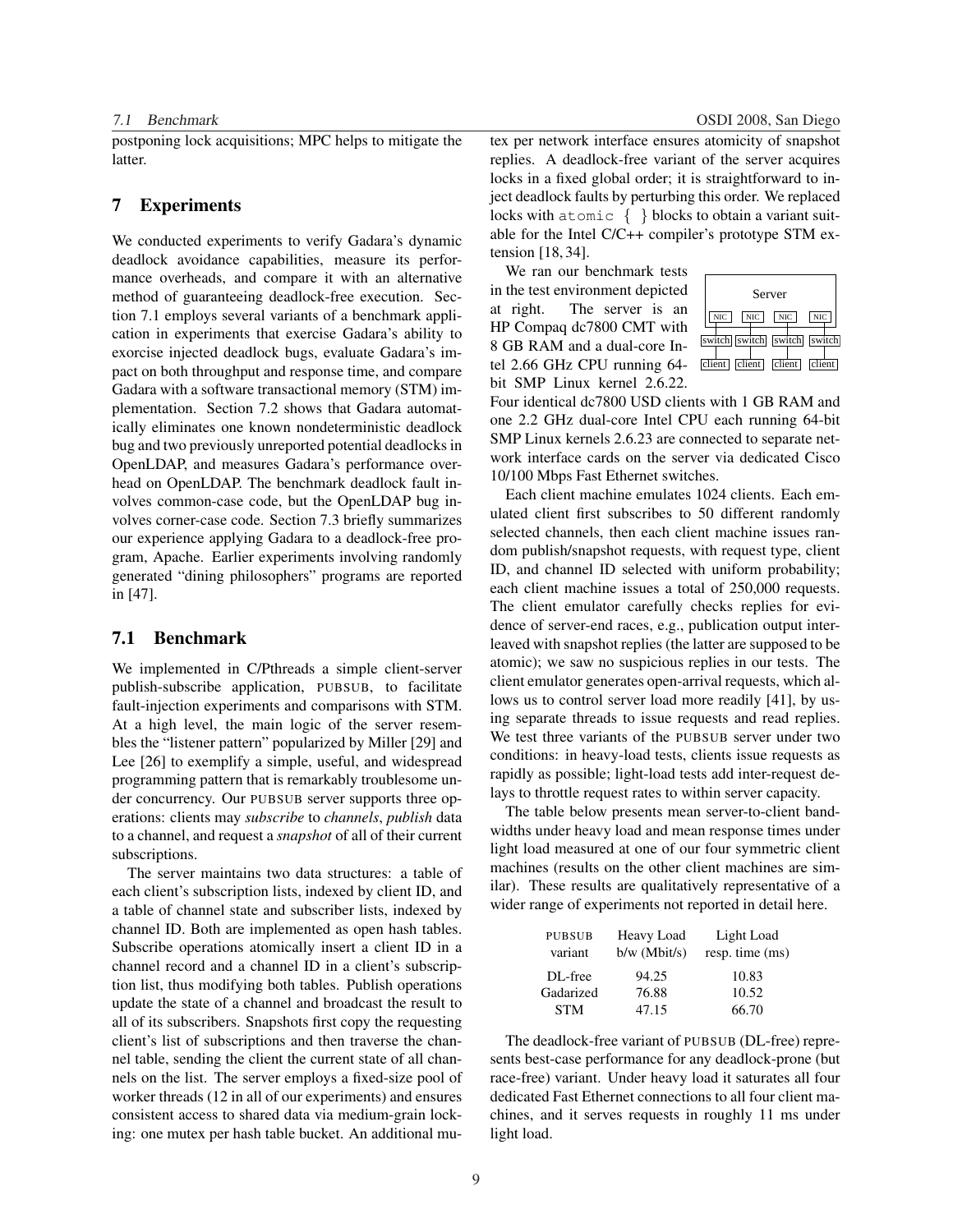postponing lock acquisitions; MPC helps to mitigate the latter.

## 7 Experiments

We conducted experiments to verify Gadara's dynamic deadlock avoidance capabilities, measure its performance overheads, and compare it with an alternative method of guaranteeing deadlock-free execution. Section 7.1 employs several variants of a benchmark application in experiments that exercise Gadara's ability to exorcise injected deadlock bugs, evaluate Gadara's impact on both throughput and response time, and compare Gadara with a software transactional memory (STM) implementation. Section 7.2 shows that Gadara automatically eliminates one known nondeterministic deadlock bug and two previously unreported potential deadlocks in OpenLDAP, and measures Gadara's performance overhead on OpenLDAP. The benchmark deadlock fault involves common-case code, but the OpenLDAP bug involves corner-case code. Section 7.3 briefly summarizes our experience applying Gadara to a deadlock-free program, Apache. Earlier experiments involving randomly generated "dining philosophers" programs are reported in [47].

#### 7.1 Benchmark

We implemented in C/Pthreads a simple client-server publish-subscribe application, PUBSUB, to facilitate fault-injection experiments and comparisons with STM. At a high level, the main logic of the server resembles the "listener pattern" popularized by Miller [29] and Lee [26] to exemplify a simple, useful, and widespread programming pattern that is remarkably troublesome under concurrency. Our PUBSUB server supports three operations: clients may *subscribe* to *channels*, *publish* data to a channel, and request a *snapshot* of all of their current subscriptions.

The server maintains two data structures: a table of each client's subscription lists, indexed by client ID, and a table of channel state and subscriber lists, indexed by channel ID. Both are implemented as open hash tables. Subscribe operations atomically insert a client ID in a channel record and a channel ID in a client's subscription list, thus modifying both tables. Publish operations update the state of a channel and broadcast the result to all of its subscribers. Snapshots first copy the requesting client's list of subscriptions and then traverse the channel table, sending the client the current state of all channels on the list. The server employs a fixed-size pool of worker threads (12 in all of our experiments) and ensures consistent access to shared data via medium-grain locking: one mutex per hash table bucket. An additional mu-

7.1 Benchmark OSDI 2008, San Diego

tex per network interface ensures atomicity of snapshot replies. A deadlock-free variant of the server acquires locks in a fixed global order; it is straightforward to inject deadlock faults by perturbing this order. We replaced locks with atomic { } blocks to obtain a variant suitable for the Intel C/C++ compiler's prototype STM extension [18, 34].

We ran our benchmark tests in the test environment depicted at right. The server is an HP Compaq dc7800 CMT with 8 GB RAM and a dual-core Intel 2.66 GHz CPU running 64 bit SMP Linux kernel 2.6.22.



Four identical dc7800 USD clients with 1 GB RAM and one 2.2 GHz dual-core Intel CPU each running 64-bit SMP Linux kernels 2.6.23 are connected to separate network interface cards on the server via dedicated Cisco 10/100 Mbps Fast Ethernet switches.

Each client machine emulates 1024 clients. Each emulated client first subscribes to 50 different randomly selected channels, then each client machine issues random publish/snapshot requests, with request type, client ID, and channel ID selected with uniform probability; each client machine issues a total of 250,000 requests. The client emulator carefully checks replies for evidence of server-end races, e.g., publication output interleaved with snapshot replies (the latter are supposed to be atomic); we saw no suspicious replies in our tests. The client emulator generates open-arrival requests, which allows us to control server load more readily [41], by using separate threads to issue requests and read replies. We test three variants of the PUBSUB server under two conditions: in heavy-load tests, clients issue requests as rapidly as possible; light-load tests add inter-request delays to throttle request rates to within server capacity.

The table below presents mean server-to-client bandwidths under heavy load and mean response times under light load measured at one of our four symmetric client machines (results on the other client machines are similar). These results are qualitatively representative of a wider range of experiments not reported in detail here.

| <b>PUBSUB</b> | Heavy Load     | Light Load      |
|---------------|----------------|-----------------|
| variant       | $b/w$ (Mbit/s) | resp. time (ms) |
| DL-free       | 94.25          | 10.83           |
| Gadarized     | 76.88          | 10.52           |
| <b>STM</b>    | 47.15          | 66.70           |

The deadlock-free variant of PUBSUB (DL-free) represents best-case performance for any deadlock-prone (but race-free) variant. Under heavy load it saturates all four dedicated Fast Ethernet connections to all four client machines, and it serves requests in roughly 11 ms under light load.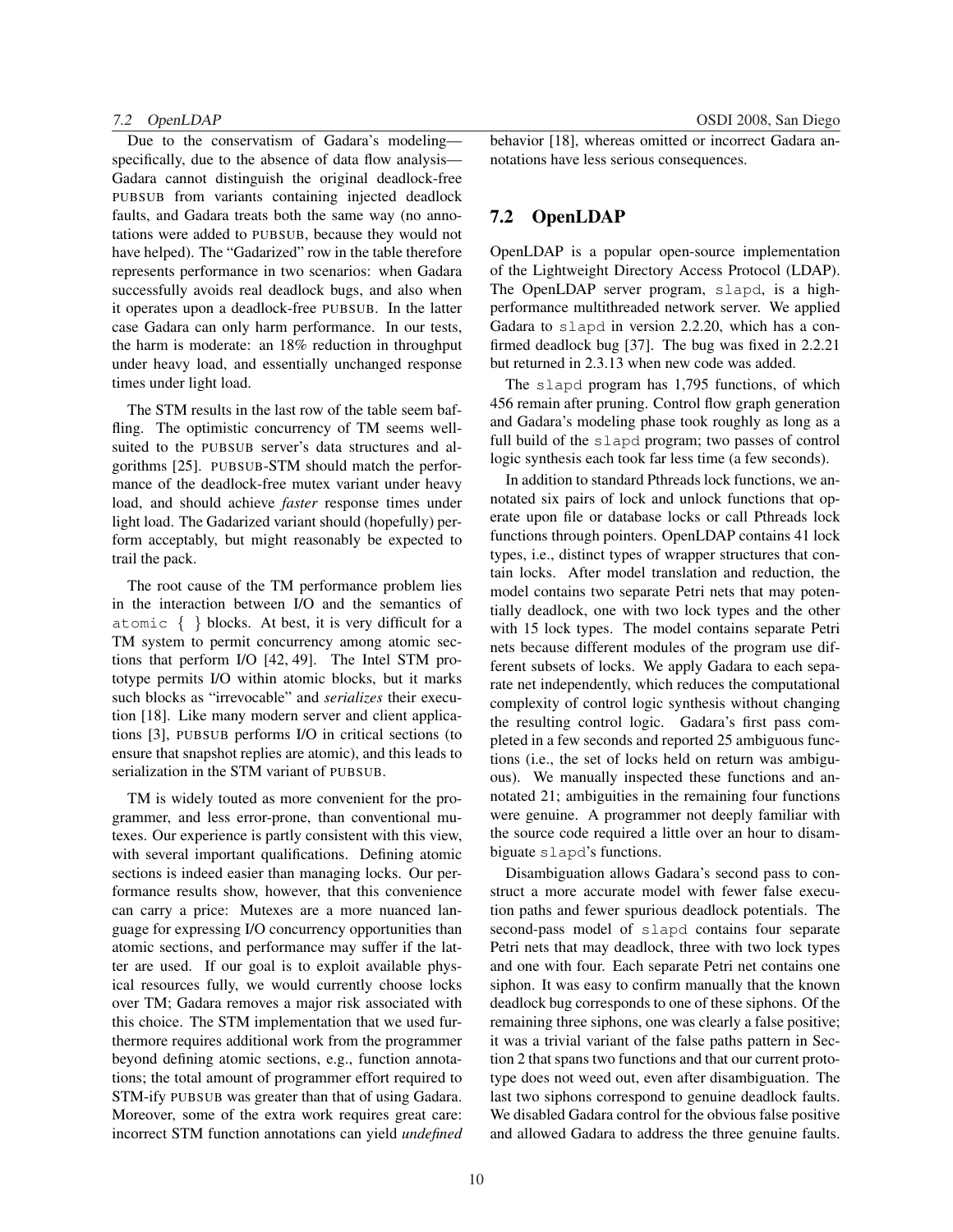Due to the conservatism of Gadara's modeling specifically, due to the absence of data flow analysis— Gadara cannot distinguish the original deadlock-free PUBSUB from variants containing injected deadlock faults, and Gadara treats both the same way (no annotations were added to PUBSUB, because they would not have helped). The "Gadarized" row in the table therefore represents performance in two scenarios: when Gadara successfully avoids real deadlock bugs, and also when it operates upon a deadlock-free PUBSUB. In the latter case Gadara can only harm performance. In our tests, the harm is moderate: an 18% reduction in throughput under heavy load, and essentially unchanged response times under light load.

The STM results in the last row of the table seem baffling. The optimistic concurrency of TM seems wellsuited to the PUBSUB server's data structures and algorithms [25]. PUBSUB-STM should match the performance of the deadlock-free mutex variant under heavy load, and should achieve *faster* response times under light load. The Gadarized variant should (hopefully) perform acceptably, but might reasonably be expected to trail the pack.

The root cause of the TM performance problem lies in the interaction between I/O and the semantics of atomic { } blocks. At best, it is very difficult for a TM system to permit concurrency among atomic sections that perform I/O [42, 49]. The Intel STM prototype permits I/O within atomic blocks, but it marks such blocks as "irrevocable" and *serializes* their execution [18]. Like many modern server and client applications [3], PUBSUB performs I/O in critical sections (to ensure that snapshot replies are atomic), and this leads to serialization in the STM variant of PUBSUB.

TM is widely touted as more convenient for the programmer, and less error-prone, than conventional mutexes. Our experience is partly consistent with this view, with several important qualifications. Defining atomic sections is indeed easier than managing locks. Our performance results show, however, that this convenience can carry a price: Mutexes are a more nuanced language for expressing I/O concurrency opportunities than atomic sections, and performance may suffer if the latter are used. If our goal is to exploit available physical resources fully, we would currently choose locks over TM; Gadara removes a major risk associated with this choice. The STM implementation that we used furthermore requires additional work from the programmer beyond defining atomic sections, e.g., function annotations; the total amount of programmer effort required to STM-ify PUBSUB was greater than that of using Gadara. Moreover, some of the extra work requires great care: incorrect STM function annotations can yield *undefined* behavior [18], whereas omitted or incorrect Gadara annotations have less serious consequences.

## 7.2 OpenLDAP

OpenLDAP is a popular open-source implementation of the Lightweight Directory Access Protocol (LDAP). The OpenLDAP server program, slapd, is a highperformance multithreaded network server. We applied Gadara to slapd in version 2.2.20, which has a confirmed deadlock bug [37]. The bug was fixed in 2.2.21 but returned in 2.3.13 when new code was added.

The slapd program has 1,795 functions, of which 456 remain after pruning. Control flow graph generation and Gadara's modeling phase took roughly as long as a full build of the slapd program; two passes of control logic synthesis each took far less time (a few seconds).

In addition to standard Pthreads lock functions, we annotated six pairs of lock and unlock functions that operate upon file or database locks or call Pthreads lock functions through pointers. OpenLDAP contains 41 lock types, i.e., distinct types of wrapper structures that contain locks. After model translation and reduction, the model contains two separate Petri nets that may potentially deadlock, one with two lock types and the other with 15 lock types. The model contains separate Petri nets because different modules of the program use different subsets of locks. We apply Gadara to each separate net independently, which reduces the computational complexity of control logic synthesis without changing the resulting control logic. Gadara's first pass completed in a few seconds and reported 25 ambiguous functions (i.e., the set of locks held on return was ambiguous). We manually inspected these functions and annotated 21; ambiguities in the remaining four functions were genuine. A programmer not deeply familiar with the source code required a little over an hour to disambiguate slapd's functions.

Disambiguation allows Gadara's second pass to construct a more accurate model with fewer false execution paths and fewer spurious deadlock potentials. The second-pass model of slapd contains four separate Petri nets that may deadlock, three with two lock types and one with four. Each separate Petri net contains one siphon. It was easy to confirm manually that the known deadlock bug corresponds to one of these siphons. Of the remaining three siphons, one was clearly a false positive; it was a trivial variant of the false paths pattern in Section 2 that spans two functions and that our current prototype does not weed out, even after disambiguation. The last two siphons correspond to genuine deadlock faults. We disabled Gadara control for the obvious false positive and allowed Gadara to address the three genuine faults.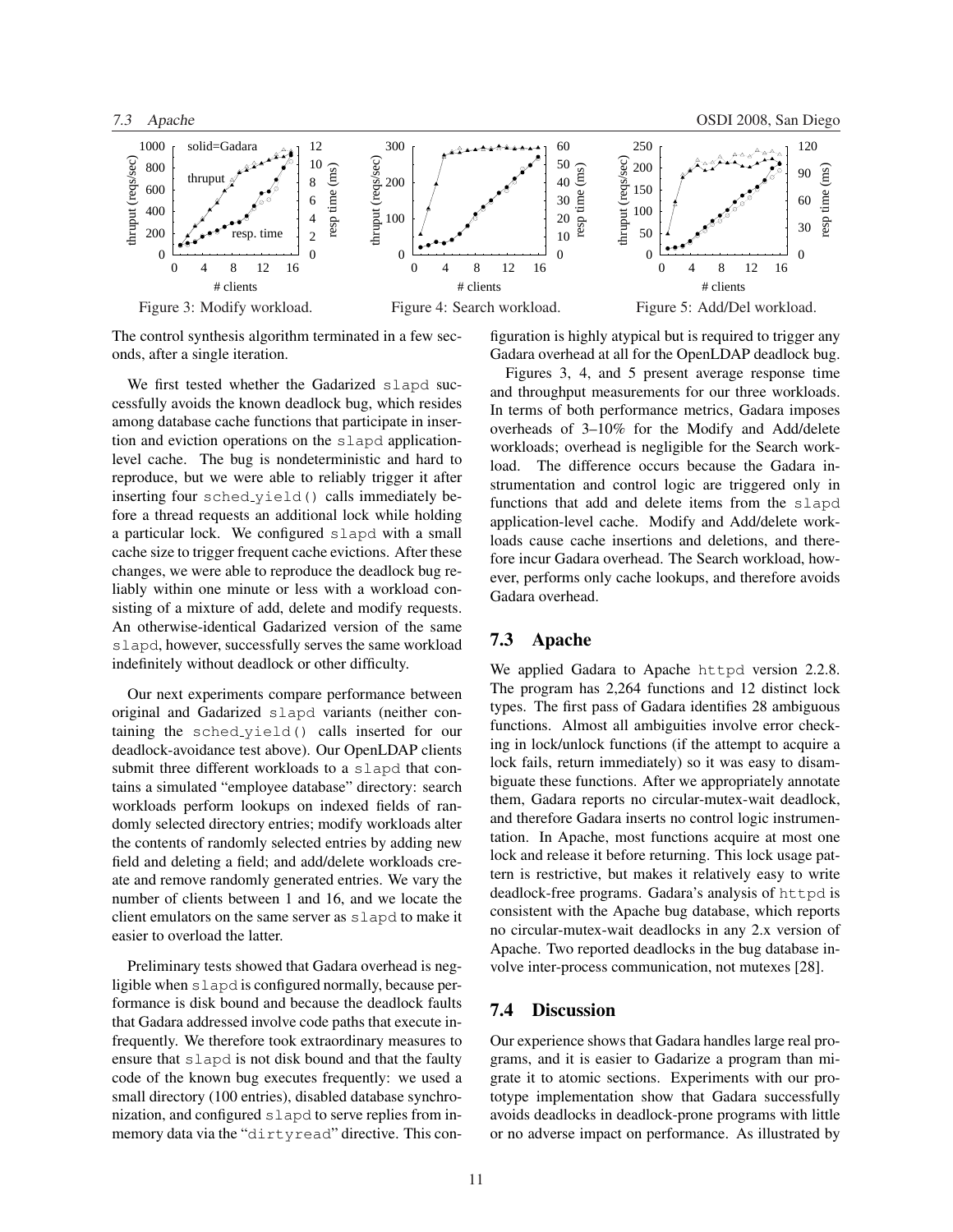

The control synthesis algorithm terminated in a few seconds, after a single iteration.

We first tested whether the Gadarized slapd successfully avoids the known deadlock bug, which resides among database cache functions that participate in insertion and eviction operations on the slapd applicationlevel cache. The bug is nondeterministic and hard to reproduce, but we were able to reliably trigger it after inserting four sched yield() calls immediately before a thread requests an additional lock while holding a particular lock. We configured slapd with a small cache size to trigger frequent cache evictions. After these changes, we were able to reproduce the deadlock bug reliably within one minute or less with a workload consisting of a mixture of add, delete and modify requests. An otherwise-identical Gadarized version of the same slapd, however, successfully serves the same workload indefinitely without deadlock or other difficulty.

Our next experiments compare performance between original and Gadarized slapd variants (neither containing the sched yield() calls inserted for our deadlock-avoidance test above). Our OpenLDAP clients submit three different workloads to a slapd that contains a simulated "employee database" directory: search workloads perform lookups on indexed fields of randomly selected directory entries; modify workloads alter the contents of randomly selected entries by adding new field and deleting a field; and add/delete workloads create and remove randomly generated entries. We vary the number of clients between 1 and 16, and we locate the client emulators on the same server as slapd to make it easier to overload the latter.

Preliminary tests showed that Gadara overhead is negligible when slapd is configured normally, because performance is disk bound and because the deadlock faults that Gadara addressed involve code paths that execute infrequently. We therefore took extraordinary measures to ensure that slapd is not disk bound and that the faulty code of the known bug executes frequently: we used a small directory (100 entries), disabled database synchronization, and configured slapd to serve replies from inmemory data via the "dirtyread" directive. This configuration is highly atypical but is required to trigger any Gadara overhead at all for the OpenLDAP deadlock bug.

Figures 3, 4, and 5 present average response time and throughput measurements for our three workloads. In terms of both performance metrics, Gadara imposes overheads of 3–10% for the Modify and Add/delete workloads; overhead is negligible for the Search workload. The difference occurs because the Gadara instrumentation and control logic are triggered only in functions that add and delete items from the slapd application-level cache. Modify and Add/delete workloads cause cache insertions and deletions, and therefore incur Gadara overhead. The Search workload, however, performs only cache lookups, and therefore avoids Gadara overhead.

### 7.3 Apache

We applied Gadara to Apache httpd version 2.2.8. The program has 2,264 functions and 12 distinct lock types. The first pass of Gadara identifies 28 ambiguous functions. Almost all ambiguities involve error checking in lock/unlock functions (if the attempt to acquire a lock fails, return immediately) so it was easy to disambiguate these functions. After we appropriately annotate them, Gadara reports no circular-mutex-wait deadlock, and therefore Gadara inserts no control logic instrumentation. In Apache, most functions acquire at most one lock and release it before returning. This lock usage pattern is restrictive, but makes it relatively easy to write deadlock-free programs. Gadara's analysis of httpd is consistent with the Apache bug database, which reports no circular-mutex-wait deadlocks in any 2.x version of Apache. Two reported deadlocks in the bug database involve inter-process communication, not mutexes [28].

### 7.4 Discussion

Our experience shows that Gadara handles large real programs, and it is easier to Gadarize a program than migrate it to atomic sections. Experiments with our prototype implementation show that Gadara successfully avoids deadlocks in deadlock-prone programs with little or no adverse impact on performance. As illustrated by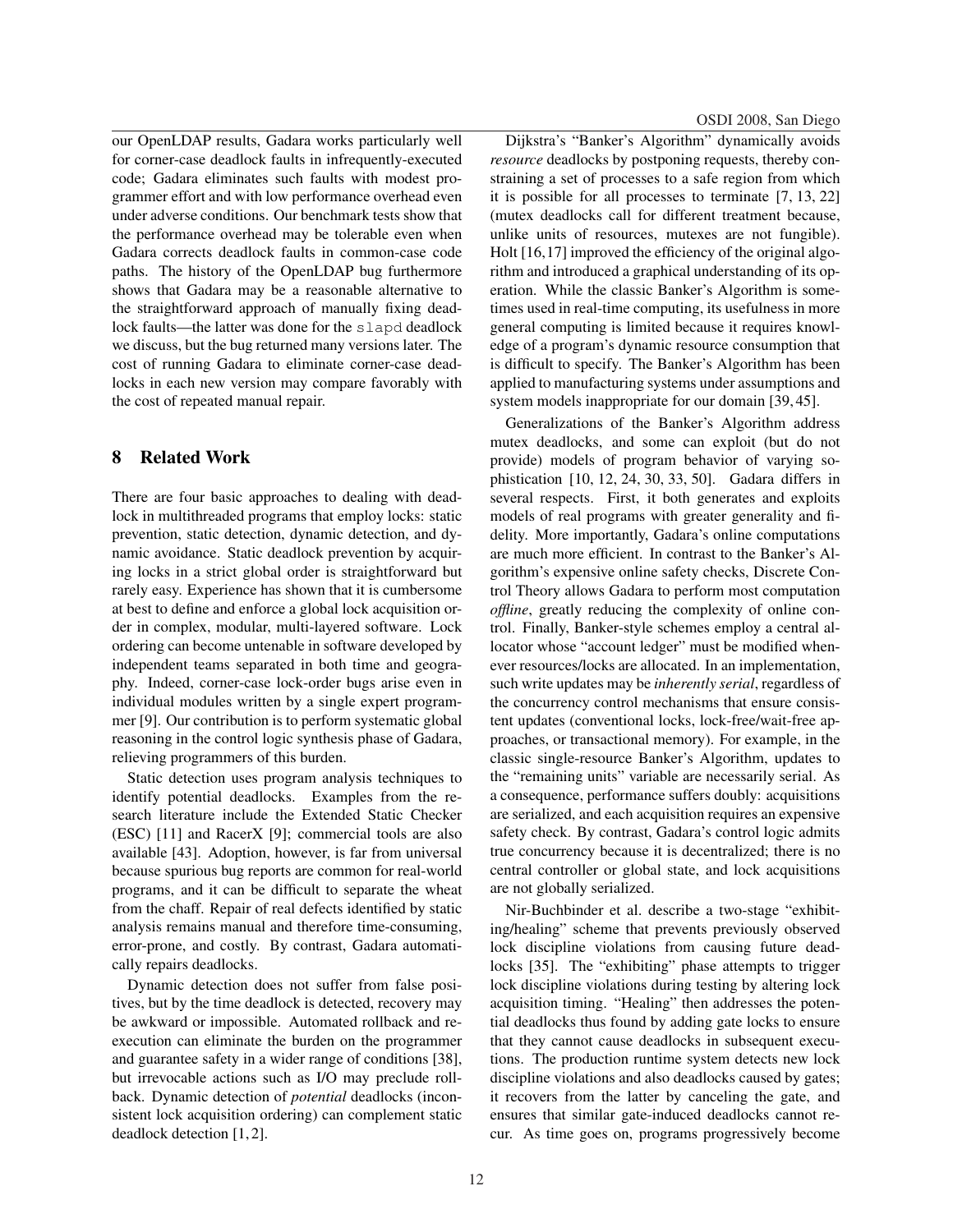our OpenLDAP results, Gadara works particularly well for corner-case deadlock faults in infrequently-executed code; Gadara eliminates such faults with modest programmer effort and with low performance overhead even under adverse conditions. Our benchmark tests show that the performance overhead may be tolerable even when Gadara corrects deadlock faults in common-case code paths. The history of the OpenLDAP bug furthermore shows that Gadara may be a reasonable alternative to the straightforward approach of manually fixing deadlock faults—the latter was done for the slapd deadlock we discuss, but the bug returned many versions later. The cost of running Gadara to eliminate corner-case deadlocks in each new version may compare favorably with the cost of repeated manual repair.

## 8 Related Work

There are four basic approaches to dealing with deadlock in multithreaded programs that employ locks: static prevention, static detection, dynamic detection, and dynamic avoidance. Static deadlock prevention by acquiring locks in a strict global order is straightforward but rarely easy. Experience has shown that it is cumbersome at best to define and enforce a global lock acquisition order in complex, modular, multi-layered software. Lock ordering can become untenable in software developed by independent teams separated in both time and geography. Indeed, corner-case lock-order bugs arise even in individual modules written by a single expert programmer [9]. Our contribution is to perform systematic global reasoning in the control logic synthesis phase of Gadara, relieving programmers of this burden.

Static detection uses program analysis techniques to identify potential deadlocks. Examples from the research literature include the Extended Static Checker (ESC) [11] and RacerX [9]; commercial tools are also available [43]. Adoption, however, is far from universal because spurious bug reports are common for real-world programs, and it can be difficult to separate the wheat from the chaff. Repair of real defects identified by static analysis remains manual and therefore time-consuming, error-prone, and costly. By contrast, Gadara automatically repairs deadlocks.

Dynamic detection does not suffer from false positives, but by the time deadlock is detected, recovery may be awkward or impossible. Automated rollback and reexecution can eliminate the burden on the programmer and guarantee safety in a wider range of conditions [38], but irrevocable actions such as I/O may preclude rollback. Dynamic detection of *potential* deadlocks (inconsistent lock acquisition ordering) can complement static deadlock detection [1, 2].

OSDI 2008, San Diego

Dijkstra's "Banker's Algorithm" dynamically avoids *resource* deadlocks by postponing requests, thereby constraining a set of processes to a safe region from which it is possible for all processes to terminate [7, 13, 22] (mutex deadlocks call for different treatment because, unlike units of resources, mutexes are not fungible). Holt [16,17] improved the efficiency of the original algorithm and introduced a graphical understanding of its operation. While the classic Banker's Algorithm is sometimes used in real-time computing, its usefulness in more general computing is limited because it requires knowledge of a program's dynamic resource consumption that is difficult to specify. The Banker's Algorithm has been applied to manufacturing systems under assumptions and system models inappropriate for our domain [39, 45].

Generalizations of the Banker's Algorithm address mutex deadlocks, and some can exploit (but do not provide) models of program behavior of varying sophistication [10, 12, 24, 30, 33, 50]. Gadara differs in several respects. First, it both generates and exploits models of real programs with greater generality and fidelity. More importantly, Gadara's online computations are much more efficient. In contrast to the Banker's Algorithm's expensive online safety checks, Discrete Control Theory allows Gadara to perform most computation *offline*, greatly reducing the complexity of online control. Finally, Banker-style schemes employ a central allocator whose "account ledger" must be modified whenever resources/locks are allocated. In an implementation, such write updates may be *inherently serial*, regardless of the concurrency control mechanisms that ensure consistent updates (conventional locks, lock-free/wait-free approaches, or transactional memory). For example, in the classic single-resource Banker's Algorithm, updates to the "remaining units" variable are necessarily serial. As a consequence, performance suffers doubly: acquisitions are serialized, and each acquisition requires an expensive safety check. By contrast, Gadara's control logic admits true concurrency because it is decentralized; there is no central controller or global state, and lock acquisitions are not globally serialized.

Nir-Buchbinder et al. describe a two-stage "exhibiting/healing" scheme that prevents previously observed lock discipline violations from causing future deadlocks [35]. The "exhibiting" phase attempts to trigger lock discipline violations during testing by altering lock acquisition timing. "Healing" then addresses the potential deadlocks thus found by adding gate locks to ensure that they cannot cause deadlocks in subsequent executions. The production runtime system detects new lock discipline violations and also deadlocks caused by gates; it recovers from the latter by canceling the gate, and ensures that similar gate-induced deadlocks cannot recur. As time goes on, programs progressively become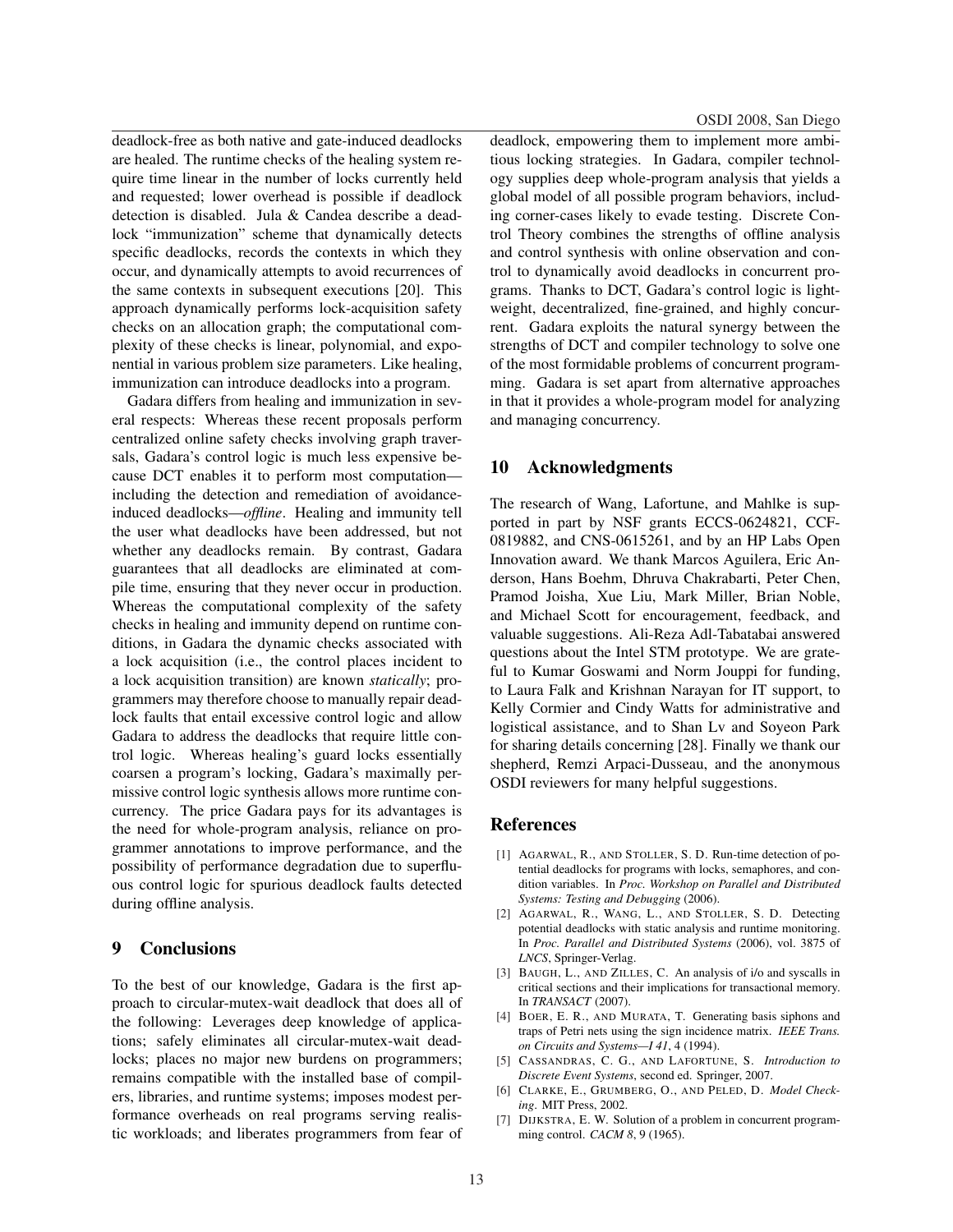deadlock-free as both native and gate-induced deadlocks are healed. The runtime checks of the healing system require time linear in the number of locks currently held and requested; lower overhead is possible if deadlock detection is disabled. Jula & Candea describe a deadlock "immunization" scheme that dynamically detects specific deadlocks, records the contexts in which they occur, and dynamically attempts to avoid recurrences of the same contexts in subsequent executions [20]. This approach dynamically performs lock-acquisition safety checks on an allocation graph; the computational complexity of these checks is linear, polynomial, and exponential in various problem size parameters. Like healing, immunization can introduce deadlocks into a program.

Gadara differs from healing and immunization in several respects: Whereas these recent proposals perform centralized online safety checks involving graph traversals, Gadara's control logic is much less expensive because DCT enables it to perform most computation including the detection and remediation of avoidanceinduced deadlocks—*offline*. Healing and immunity tell the user what deadlocks have been addressed, but not whether any deadlocks remain. By contrast, Gadara guarantees that all deadlocks are eliminated at compile time, ensuring that they never occur in production. Whereas the computational complexity of the safety checks in healing and immunity depend on runtime conditions, in Gadara the dynamic checks associated with a lock acquisition (i.e., the control places incident to a lock acquisition transition) are known *statically*; programmers may therefore choose to manually repair deadlock faults that entail excessive control logic and allow Gadara to address the deadlocks that require little control logic. Whereas healing's guard locks essentially coarsen a program's locking, Gadara's maximally permissive control logic synthesis allows more runtime concurrency. The price Gadara pays for its advantages is the need for whole-program analysis, reliance on programmer annotations to improve performance, and the possibility of performance degradation due to superfluous control logic for spurious deadlock faults detected during offline analysis.

## 9 Conclusions

To the best of our knowledge, Gadara is the first approach to circular-mutex-wait deadlock that does all of the following: Leverages deep knowledge of applications; safely eliminates all circular-mutex-wait deadlocks; places no major new burdens on programmers; remains compatible with the installed base of compilers, libraries, and runtime systems; imposes modest performance overheads on real programs serving realistic workloads; and liberates programmers from fear of deadlock, empowering them to implement more ambitious locking strategies. In Gadara, compiler technology supplies deep whole-program analysis that yields a global model of all possible program behaviors, including corner-cases likely to evade testing. Discrete Control Theory combines the strengths of offline analysis and control synthesis with online observation and control to dynamically avoid deadlocks in concurrent programs. Thanks to DCT, Gadara's control logic is lightweight, decentralized, fine-grained, and highly concurrent. Gadara exploits the natural synergy between the strengths of DCT and compiler technology to solve one of the most formidable problems of concurrent programming. Gadara is set apart from alternative approaches in that it provides a whole-program model for analyzing and managing concurrency.

## 10 Acknowledgments

The research of Wang, Lafortune, and Mahlke is supported in part by NSF grants ECCS-0624821, CCF-0819882, and CNS-0615261, and by an HP Labs Open Innovation award. We thank Marcos Aguilera, Eric Anderson, Hans Boehm, Dhruva Chakrabarti, Peter Chen, Pramod Joisha, Xue Liu, Mark Miller, Brian Noble, and Michael Scott for encouragement, feedback, and valuable suggestions. Ali-Reza Adl-Tabatabai answered questions about the Intel STM prototype. We are grateful to Kumar Goswami and Norm Jouppi for funding, to Laura Falk and Krishnan Narayan for IT support, to Kelly Cormier and Cindy Watts for administrative and logistical assistance, and to Shan Lv and Soyeon Park for sharing details concerning [28]. Finally we thank our shepherd, Remzi Arpaci-Dusseau, and the anonymous OSDI reviewers for many helpful suggestions.

#### References

- [1] AGARWAL, R., AND STOLLER, S. D. Run-time detection of potential deadlocks for programs with locks, semaphores, and condition variables. In *Proc. Workshop on Parallel and Distributed Systems: Testing and Debugging* (2006).
- [2] AGARWAL, R., WANG, L., AND STOLLER, S. D. Detecting potential deadlocks with static analysis and runtime monitoring. In *Proc. Parallel and Distributed Systems* (2006), vol. 3875 of *LNCS*, Springer-Verlag.
- [3] BAUGH, L., AND ZILLES, C. An analysis of i/o and syscalls in critical sections and their implications for transactional memory. In *TRANSACT* (2007).
- [4] BOER, E. R., AND MURATA, T. Generating basis siphons and traps of Petri nets using the sign incidence matrix. *IEEE Trans. on Circuits and Systems—I 41*, 4 (1994).
- [5] CASSANDRAS, C. G., AND LAFORTUNE, S. *Introduction to Discrete Event Systems*, second ed. Springer, 2007.
- [6] CLARKE, E., GRUMBERG, O., AND PELED, D. *Model Checking*. MIT Press, 2002.
- [7] DIJKSTRA, E. W. Solution of a problem in concurrent programming control. *CACM 8*, 9 (1965).